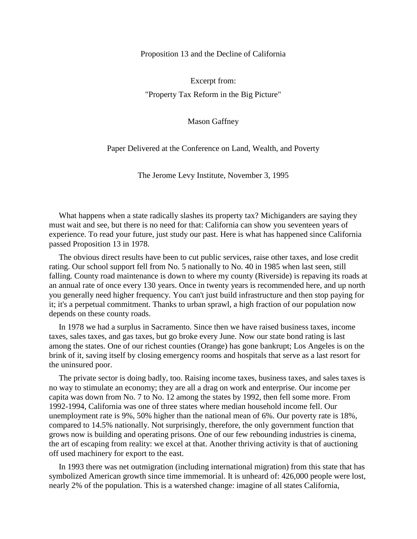Proposition 13 and the Decline of California

Excerpt from: "Property Tax Reform in the Big Picture"

Mason Gaffney

Paper Delivered at the Conference on Land, Wealth, and Poverty

The Jerome Levy Institute, November 3, 1995

What happens when a state radically slashes its property tax? Michiganders are saying they must wait and see, but there is no need for that: California can show you seventeen years of experience. To read your future, just study our past. Here is what has happened since California passed Proposition 13 in 1978.

The obvious direct results have been to cut public services, raise other taxes, and lose credit rating. Our school support fell from No. 5 nationally to No. 40 in 1985 when last seen, still falling. County road maintenance is down to where my county (Riverside) is repaving its roads at an annual rate of once every 130 years. Once in twenty years is recommended here, and up north you generally need higher frequency. You can't just build infrastructure and then stop paying for it; it's a perpetual commitment. Thanks to urban sprawl, a high fraction of our population now depends on these county roads.

In 1978 we had a surplus in Sacramento. Since then we have raised business taxes, income taxes, sales taxes, and gas taxes, but go broke every June. Now our state bond rating is last among the states. One of our richest counties (Orange) has gone bankrupt; Los Angeles is on the brink of it, saving itself by closing emergency rooms and hospitals that serve as a last resort for the uninsured poor.

The private sector is doing badly, too. Raising income taxes, business taxes, and sales taxes is no way to stimulate an economy; they are all a drag on work and enterprise. Our income per capita was down from No. 7 to No. 12 among the states by 1992, then fell some more. From 1992-1994, California was one of three states where median household income fell. Our unemployment rate is 9%, 50% higher than the national mean of 6%. Our poverty rate is 18%, compared to 14.5% nationally. Not surprisingly, therefore, the only government function that grows now is building and operating prisons. One of our few rebounding industries is cinema, the art of escaping from reality: we excel at that. Another thriving activity is that of auctioning off used machinery for export to the east.

In 1993 there was net outmigration (including international migration) from this state that has symbolized American growth since time immemorial. It is unheard of: 426,000 people were lost, nearly 2% of the population. This is a watershed change: imagine of all states California,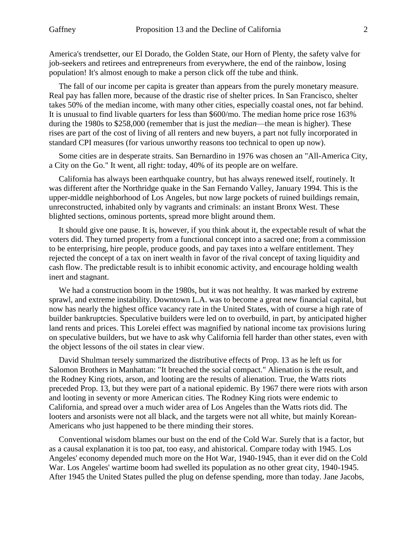America's trendsetter, our El Dorado, the Golden State, our Horn of Plenty, the safety valve for job-seekers and retirees and entrepreneurs from everywhere, the end of the rainbow, losing population! It's almost enough to make a person click off the tube and think.

The fall of our income per capita is greater than appears from the purely monetary measure. Real pay has fallen more, because of the drastic rise of shelter prices. In San Francisco, shelter takes 50% of the median income, with many other cities, especially coastal ones, not far behind. It is unusual to find livable quarters for less than \$600/mo. The median home price rose 163% during the 1980s to \$258,000 (remember that is just the *median*—the mean is higher). These rises are part of the cost of living of all renters and new buyers, a part not fully incorporated in standard CPI measures (for various unworthy reasons too technical to open up now).

Some cities are in desperate straits. San Bernardino in 1976 was chosen an "All-America City, a City on the Go." It went, all right: today, 40% of its people are on welfare.

California has always been earthquake country, but has always renewed itself, routinely. It was different after the Northridge quake in the San Fernando Valley, January 1994. This is the upper-middle neighborhood of Los Angeles, but now large pockets of ruined buildings remain, unreconstructed, inhabited only by vagrants and criminals: an instant Bronx West. These blighted sections, ominous portents, spread more blight around them.

It should give one pause. It is, however, if you think about it, the expectable result of what the voters did. They turned property from a functional concept into a sacred one; from a commission to be enterprising, hire people, produce goods, and pay taxes into a welfare entitlement. They rejected the concept of a tax on inert wealth in favor of the rival concept of taxing liquidity and cash flow. The predictable result is to inhibit economic activity, and encourage holding wealth inert and stagnant.

We had a construction boom in the 1980s, but it was not healthy. It was marked by extreme sprawl, and extreme instability. Downtown L.A. was to become a great new financial capital, but now has nearly the highest office vacancy rate in the United States, with of course a high rate of builder bankruptcies. Speculative builders were led on to overbuild, in part, by anticipated higher land rents and prices. This Lorelei effect was magnified by national income tax provisions luring on speculative builders, but we have to ask why California fell harder than other states, even with the object lessons of the oil states in clear view.

David Shulman tersely summarized the distributive effects of Prop. 13 as he left us for Salomon Brothers in Manhattan: "It breached the social compact." Alienation is the result, and the Rodney King riots, arson, and looting are the results of alienation. True, the Watts riots preceded Prop. 13, but they were part of a national epidemic. By 1967 there were riots with arson and looting in seventy or more American cities. The Rodney King riots were endemic to California, and spread over a much wider area of Los Angeles than the Watts riots did. The looters and arsonists were not all black, and the targets were not all white, but mainly Korean-Americans who just happened to be there minding their stores.

Conventional wisdom blames our bust on the end of the Cold War. Surely that is a factor, but as a causal explanation it is too pat, too easy, and ahistorical. Compare today with 1945. Los Angeles' economy depended much more on the Hot War, 1940-1945, than it ever did on the Cold War. Los Angeles' wartime boom had swelled its population as no other great city, 1940-1945. After 1945 the United States pulled the plug on defense spending, more than today. Jane Jacobs,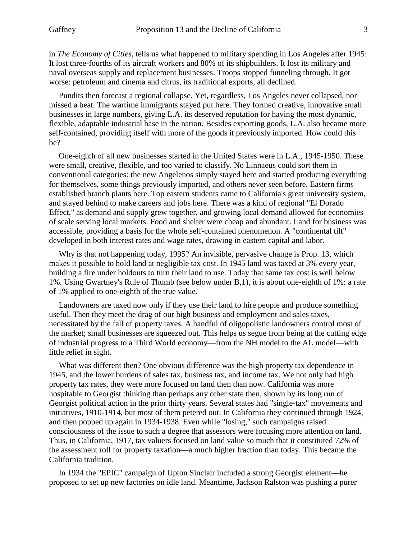in *The Economy of Cities*, tells us what happened to military spending in Los Angeles after 1945: It lost three-fourths of its aircraft workers and 80% of its shipbuilders. It lost its military and naval overseas supply and replacement businesses. Troops stopped funneling through. It got worse: petroleum and cinema and citrus, its traditional exports, all declined.

Pundits then forecast a regional collapse. Yet, regardless, Los Angeles never collapsed, nor missed a beat. The wartime immigrants stayed put here. They formed creative, innovative small businesses in large numbers, giving L.A. its deserved reputation for having the most dynamic, flexible, adaptable industrial base in the nation. Besides exporting goods, L.A. also became more self-contained, providing itself with more of the goods it previously imported. How could this be?

One-eighth of all new businesses started in the United States were in L.A., 1945-1950. These were small, creative, flexible, and too varied to classify. No Linnaeus could sort them in conventional categories: the new Angelenos simply stayed here and started producing everything for themselves, some things previously imported, and others never seen before. Eastern firms established branch plants here. Top eastern students came to California's great university system, and stayed behind to make careers and jobs here. There was a kind of regional "El Dorado Effect," as demand and supply grew together, and growing local demand allowed for economies of scale serving local markets. Food and shelter were cheap and abundant. Land for business was accessible, providing a basis for the whole self-contained phenomenon. A "continental tilt" developed in both interest rates and wage rates, drawing in eastern capital and labor.

Why is that not happening today, 1995? An invisible, pervasive change is Prop. 13, which makes it possible to hold land at negligible tax cost. In 1945 land was taxed at 3% every year, building a fire under holdouts to turn their land to use. Today that same tax cost is well below 1%. Using Gwartney's Rule of Thumb (see below under B,1), it is about one-eighth of 1%: a rate of 1% applied to one-eighth of the true value.

Landowners are taxed now only if they use their land to hire people and produce something useful. Then they meet the drag of our high business and employment and sales taxes, necessitated by the fall of property taxes. A handful of oligopolistic landowners control most of the market; small businesses are squeezed out. This helps us segue from being at the cutting edge of industrial progress to a Third World economy—from the NH model to the AL model—with little relief in sight.

What was different then? One obvious difference was the high property tax dependence in 1945, and the lower burdens of sales tax, business tax, and income tax. We not only had high property tax rates, they were more focused on land then than now. California was more hospitable to Georgist thinking than perhaps any other state then, shown by its long run of Georgist political action in the prior thirty years. Several states had "single-tax" movements and initiatives, 1910-1914, but most of them petered out. In California they continued through 1924, and then popped up again in 1934-1938. Even while "losing," such campaigns raised consciousness of the issue to such a degree that assessors were focusing more attention on land. Thus, in California, 1917, tax valuers focused on land value so much that it constituted 72% of the assessment roll for property taxation—a much higher fraction than today. This became the California tradition.

In 1934 the "EPIC" campaign of Upton Sinclair included a strong Georgist element—he proposed to set up new factories on idle land. Meantime, Jackson Ralston was pushing a purer